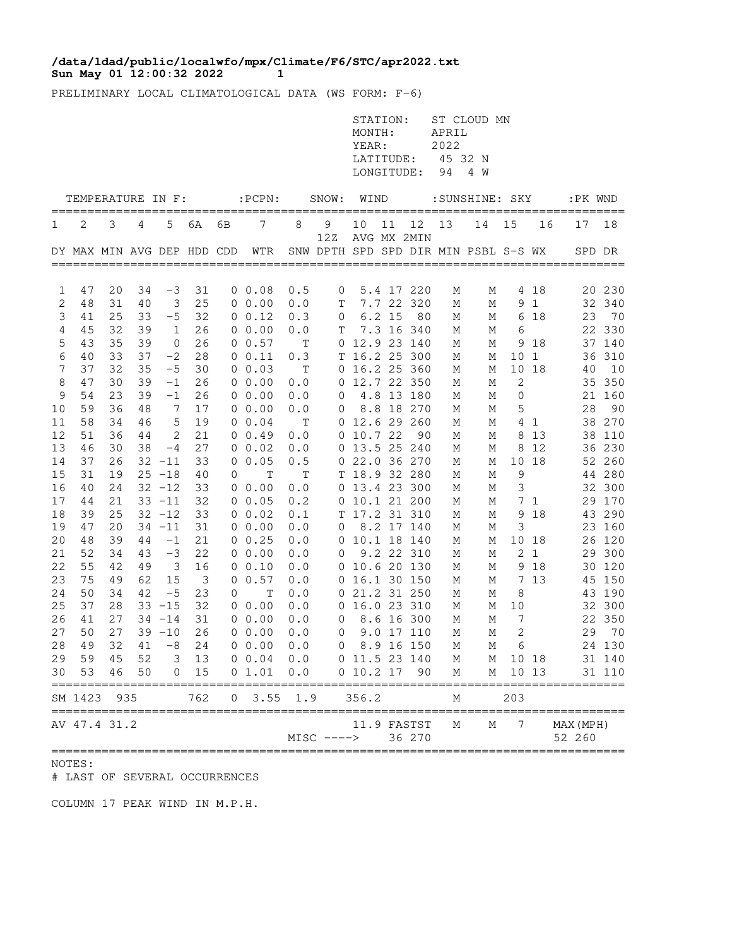## **Sun May 01 12:00:32 2022 1 /data/ldad/public/localwfo/mpx/Climate/F6/STC/apr2022.txt**

PRELIMINARY LOCAL CLIMATOLOGICAL DATA (WS FORM: F-6)

|                  |                                 |          |          |                                |                         |                |                                                     |             |                | STATION:<br>MONTH:<br>YEAR:<br>LATITUDE:<br>LONGITUDE: |          |                       | APRIL<br>2022<br>45 32 N<br>94 | ST CLOUD MN<br>4 W                        |              |                |                     |                  |
|------------------|---------------------------------|----------|----------|--------------------------------|-------------------------|----------------|-----------------------------------------------------|-------------|----------------|--------------------------------------------------------|----------|-----------------------|--------------------------------|-------------------------------------------|--------------|----------------|---------------------|------------------|
|                  | TEMPERATURE IN F:               |          |          |                                |                         |                | $:$ $PCPN:$                                         |             | SNOW: WIND     |                                                        |          |                       |                                | :SUNSHINE: SKY                            |              |                | :PK WND             |                  |
| 1                | 2                               | 3        | 4        | 5                              | 6A                      | 6В             | 7                                                   | 8           | 9              | 10                                                     | 11       | 12                    | 13                             | ___________________________________<br>14 | 15           | 16             | ====<br>17          | 18               |
|                  |                                 |          |          |                                |                         |                | DY MAX MIN AVG DEP HDD CDD WTR                      |             | 12Z            |                                                        |          | AVG MX 2MIN           |                                | SNW DPTH SPD SPD DIR MIN PSBL S-S WX      |              |                |                     | SPD DR           |
| 1                | 47                              | 20       | 34       | $-3$                           | 31                      |                | 0 0.08                                              | 0.5         | 0              |                                                        |          | 5.4 17 220            | М                              | М                                         |              | 4 18           |                     | 20 230           |
| 2                | 48                              | 31       | 40       | 3                              | 25                      |                | $0\;\;0.00$                                         | 0.0         | T              |                                                        |          | 7.7 22 320            | М                              | М                                         |              | 9 <sub>1</sub> |                     | 32 340           |
| 3                | 41                              | 25       | 33       | $-5$                           | 32                      |                | $0 \t 0.12$                                         | 0.3         | $\overline{0}$ |                                                        | $6.2$ 15 | 80                    | М                              | М                                         |              | 6 18           | 23                  | 70               |
| $\overline{4}$   | 45                              | 32       | 39       | $\mathbf{1}$                   | 26                      |                | 0 0.00                                              | 0.0         | Т              |                                                        |          | 7.3 16 340            | М                              | М                                         | 6            |                |                     | 22 330           |
| 5                | 43                              | 35       | 39       | $\mathbf 0$                    | 26                      |                | 0 0.57                                              | Т           |                | 0 12.9 23 140                                          |          |                       | М                              | М                                         |              | 9 18           |                     | 37 140           |
| $\epsilon$       | 40                              | 33       | 37       | $-2$                           | 28                      |                | 0 0.11                                              | 0.3         |                |                                                        |          | T 16.2 25 300         | М                              | М                                         | 10 1         |                |                     | 36 310           |
| 7                | 37<br>47                        | 32<br>30 | 35       | $-5$                           | 30<br>26                |                | $0\;\;0.03$                                         | Т           |                | 0 16.2 25 360                                          |          |                       | М                              | М                                         | 2            | 10 18          | 40                  | 10<br>35 350     |
| 8<br>$\mathsf 9$ | 54                              | 23       | 39<br>39 | $-1$<br>$-1$                   | 26                      |                | 0 0.00<br>$0\;\;0.00$                               | 0.0<br>0.0  | 0              | 0 12.7 22 350                                          |          | 4.8 13 180            | М<br>М                         | М<br>М                                    | $\mathbf 0$  |                |                     | 21 160           |
| 10               | 59                              | 36       | 48       | 7                              | 17                      |                | $0\;\;0.00$                                         | 0.0         | 0              |                                                        |          | 8.8 18 270            | М                              | М                                         | 5            |                | 28                  | 90               |
| 11               | 58                              | 34       | 46       | 5                              | 19                      |                | $0 \t 0.04$                                         | Т           |                | 0 12.6 29 260                                          |          |                       | М                              | М                                         |              | 4 1            |                     | 38 270           |
| 12               | 51                              | 36       | 44       | 2                              | 21                      |                | $0 \t 0.49$                                         | 0.0         |                | 0 10.7 22                                              |          | 90                    | М                              | М                                         |              | 8 1 3          |                     | 38 110           |
| 13               | 46                              | 30       | 38       | $-4$                           | 27                      |                | $0\;\;0.02$                                         | 0.0         |                | 0 13.5 25 240                                          |          |                       | М                              | М                                         |              | 8 1 2          |                     | 36 230           |
| 14               | 37                              | 26       |          | $32 - 11$                      | 33                      |                | $0\;\;0.05$                                         | 0.5         |                | 0 22.0 36 270                                          |          |                       | М                              | М                                         |              | 10 18          |                     | 52 260           |
| 15               | 31                              | 19       |          | $25 - 18$                      | 40                      | 0              | $\mathbf T$                                         | $\mathbf T$ |                | T 18.9 32 280                                          |          |                       | М                              | М                                         | $\mathsf 9$  |                |                     | 44 280           |
| 16               | 40                              | 24       |          | $32 - 12$                      | 33                      |                | $0\ 0.00$                                           | 0.0         |                | 0 13.4 23 300                                          |          |                       | М                              | М                                         | 3            |                |                     | 32 300           |
| 17               | 44                              | 21       |          | $33 - 11$                      | 32                      |                | $0\;\;0.05$                                         | 0.2         |                | 0 10.1 21 200                                          |          |                       | М                              | М                                         |              | 7 <sub>1</sub> |                     | 29 170           |
| 18               | 39                              | 25       |          | $32 - 12$                      | 33                      |                | 0 0.02                                              | 0.1         |                | T 17.2 31 310                                          |          |                       | М                              | М                                         | 9            | 18             |                     | 43 290           |
| 19               | 47                              | 20       |          | $34 - 11$                      | 31                      |                | $0\;\;0.00$                                         | 0.0         | 0              |                                                        |          | 8.2 17 140            | М                              | М                                         | 3            |                |                     | 23 160           |
| 20               | 48                              | 39       | 44       | $-1$                           | 21                      |                | 0 0.25                                              | 0.0         |                | 0 10.1 18 140                                          |          |                       | М                              | М                                         |              | 10 18          |                     | 26 120           |
| 21               | 52<br>55                        | 34<br>42 | 43<br>49 | $-3$                           | 22<br>16                |                | 00.00                                               | 0.0         | 0              |                                                        |          | 9.2 22 310            | М                              | М                                         |              | 2 <sub>1</sub> |                     | 29 300           |
| 22<br>23         | 75                              | 49       | 62       | $\overline{\phantom{a}}$<br>15 | $\overline{\mathbf{3}}$ |                | 0 0.10<br>0 0.57                                    | 0.0<br>0.0  |                | 0 10.6 20 130<br>0 16.1 30 150                         |          |                       | М<br>М                         | М<br>М                                    |              | 9 18<br>7 13   |                     | 30 120<br>45 150 |
| 24               | 50                              | 34       | 42       | $-5$                           | 23                      | $\overline{0}$ | $\mathbf{T}$                                        | 0.0         |                |                                                        |          | 0 21.2 31 250         | М                              | М                                         | 8            |                |                     | 43 190           |
| 25               | 37                              | 28       |          | $33 - 15$                      | 32                      |                | $0\;\;0.00$                                         | 0.0         |                | 0 16.0 23 310                                          |          |                       | М                              | М                                         | 10           |                |                     | 32 300           |
| 26               | 41                              | 27       |          | $34 - 14$                      | 31                      |                | 0 0.00                                              | 0.0         | $\overline{0}$ |                                                        |          | 8.6 16 300            | М                              | М                                         | 7            |                |                     | 22 350           |
| 27               | 50                              | 27       |          | $39 - 10$                      | 26                      |                | $0\ 0.00$                                           | 0.0         | $\overline{0}$ |                                                        |          | 9.0 17 110            | М                              | М                                         | $\mathbf{2}$ |                |                     | 29 70            |
|                  |                                 |          |          |                                |                         |                | 28 49 32 41 -8 24 0 0.00 0.0                        |             |                |                                                        |          | 0 8.9 16 150 M        |                                |                                           | M 6          |                |                     | 24 130           |
|                  |                                 |          |          |                                |                         |                | 29 59 45 52 3 13 0 0.04 0.0 0 11.5 23 140 M M 10 18 |             |                |                                                        |          |                       |                                |                                           |              |                |                     | 31 140           |
|                  | 30 53<br>====================== |          | 46 50    |                                | $0 \t 15$               | ====           | $0$ 1.01 0.0 0 10.2 17<br>======                    |             |                |                                                        |          | 90                    |                                | M M 10 13                                 |              |                |                     | 31 110           |
|                  | SM 1423                         | 935      |          |                                | 762                     |                | $0$ 3.55 1.9 356.2                                  |             |                |                                                        |          |                       | М                              |                                           | 203          |                |                     |                  |
|                  | AV 47.4 31.2                    |          |          |                                |                         |                |                                                     |             | $MISC$ $--->$  |                                                        |          | 11.9 FASTST<br>36 270 | M                              | М                                         | 7            |                | MAX (MPH)<br>52 260 |                  |

## NOTES:

# LAST OF SEVERAL OCCURRENCES

COLUMN 17 PEAK WIND IN M.P.H.